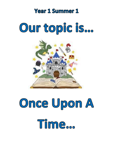### **Year 1 Summer 1**

## Our topic is...



# Once Upon A Tilme...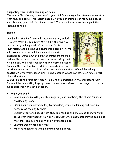#### **Supporting your child's learning at home**

The most effective way of supporting your child's learning is by taking an interest in what they are doing. This leaflet should give you a starting point for talking about what learning your child is doing at school. There are ideas below to support their learning at home.

#### **English**

Our English this half term will focus on a Story called 'The Last Wolf' by Mini Grey. We will be starting the half term by making predictions, responding to illustrations and building up a character description. We will then move on and will look more closely at Endangered Animals, what makes an animal endangered and use this information to create our own Endangered Animal Book. Will shall then look at the story, discuss it from another perspective, and start to write more in



depth sentences using exciting adjectives and connectives. We will be asking questions to the Wolf, describing his characteristics and reflecting on how we felt about the story.

We will be using drama activities to explore the emotions of the characters. Our focus will be on exciting language, use of questions and use of the range of sentence types expected for Year 1 children.

#### **At home you could:**

- Continue reading with your child regularly and practising the phonic sounds in the Reading Diary.
- Expand your child's vocabulary by discussing more challenging and exciting words when reading to them.
- Speak to your child about what they are reading and encourage them to think about what might happen next or to consider why a character may be feeling as they are. This will help with their inference skills.
- Learning weekly spelling words.
- Practise handwriting when learning spelling words.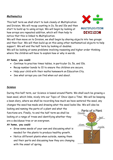#### **Mathematics**

This half term we shall start to look closely at Multiplication and Division. We will recap counting in 2s, 5s and 10s and then start to build up to using arrays. We will begin by looking at how arrays are repeated addition, which will then help to notice that this is linked to Multiplication.



We will then move on to Division, we shall begin by sharing objects into two groups and then four. We will then build up on this using other mathematical objects to help support. We will end the half term by looking at doubles.

We will be looking at some problems involving reasoning and higher order thinking where the children will have to explain how or why in words.

#### **At home, you could:**

- Continue to practise times tables, in particular 2s, 5s, and 10s.
- Recap number bonds to 10 to ensure the children are secure.
- Help your child with their maths homework on Education City.
- See what arrays you can find when out and about.

#### **Science**

During this half term, our Science is based around Plants. We shall each be growing a bean seed, which links, nicely into our Topic of 'Once Upon a Time'. We will be keeping a bean diary, where we shall be recording how much we have watered the seed, any changes the seed has made and drawing what the seed looks like. We will also be

looking and naming the parts of a plant and what the functions are. Finally, to end the half term we shall be looking at a range of tress and identifying whether they are a deciduous tree or an evergreen.

#### **At home, you could:**

- Grow some seeds of your own and discussing what is needed for the plants to produce healthy growth.
- Notice different plants when outside, naming them and their parts and discussing how they are changing with the onset of spring.

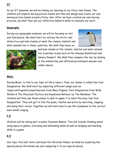In our DT sessions, we will be linking our learning to our Fairy-tale theme. The children will explore moving picture books and then will design and create our own moving picture based around a Fairy-tale. After we have created our own moving pictures, we shall then use our reflective ladybird skills to evaluate our work.

#### **Geography**

During our geography sessions, we will be focusing on Hot and Cold places. We shall start by visiting the Arctic and Antarctica and look closely at what the climate, habitat and what animals live in these countries. We shall then move on





and look closely at the climate, habitat and what animals live in warmer areas such as the Amazon Rainforest and Sahara Dessert. We shall then compare the two by looking at the similarities and differences between warmer and colder places.

#### **Music**

During Music, to link to our topic of Once Upon a Time, our theme is called Use Your Imagination. We shall start by exploring different songs such as 'Supercalifragilisticexpialidocious from Mary Poppins, Pure Imagination from Willy Wonka & The Chocolate Factory and Daydream Believer by The Monkees'. The children will then use these styles to able to apply it to learn the song 'Use Your Imagination'. They will get to find the pulse, rhythm and pitch by marching, clapping and using their voices. Together we will learn how to use the xylophone to the correct beat whilst singing.

#### **P.E**

Children will be taking part in some 'Invasion Games'. This will include thinking about using space in games, attacking and defending skills as well as dodging and marking skills in a game.

#### **R.E**

Our topic this half term continues the Christian theme; we shall be exploring the special places Christians use and comparing it to our special places.

#### **DT**